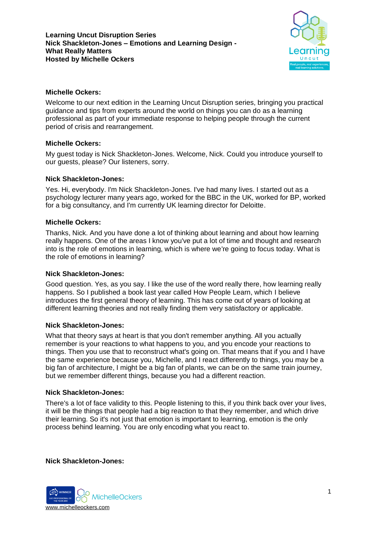

# **Michelle Ockers:**

Welcome to our next edition in the Learning Uncut Disruption series, bringing you practical guidance and tips from experts around the world on things you can do as a learning professional as part of your immediate response to helping people through the current period of crisis and rearrangement.

# **Michelle Ockers:**

My guest today is Nick Shackleton-Jones. Welcome, Nick. Could you introduce yourself to our guests, please? Our listeners, sorry.

## **Nick Shackleton-Jones:**

Yes. Hi, everybody. I'm Nick Shackleton-Jones. I've had many lives. I started out as a psychology lecturer many years ago, worked for the BBC in the UK, worked for BP, worked for a big consultancy, and I'm currently UK learning director for Deloitte.

### **Michelle Ockers:**

Thanks, Nick. And you have done a lot of thinking about learning and about how learning really happens. One of the areas I know you've put a lot of time and thought and research into is the role of emotions in learning, which is where we're going to focus today. What is the role of emotions in learning?

## **Nick Shackleton-Jones:**

Good question. Yes, as you say. I like the use of the word really there, how learning really happens. So I published a book last year called How People Learn, which I believe introduces the first general theory of learning. This has come out of years of looking at different learning theories and not really finding them very satisfactory or applicable.

## **Nick Shackleton-Jones:**

What that theory says at heart is that you don't remember anything. All you actually remember is your reactions to what happens to you, and you encode your reactions to things. Then you use that to reconstruct what's going on. That means that if you and I have the same experience because you, Michelle, and I react differently to things, you may be a big fan of architecture, I might be a big fan of plants, we can be on the same train journey, but we remember different things, because you had a different reaction.

## **Nick Shackleton-Jones:**

There's a lot of face validity to this. People listening to this, if you think back over your lives, it will be the things that people had a big reaction to that they remember, and which drive their learning. So it's not just that emotion is important to learning, emotion is the only process behind learning. You are only encoding what you react to.

**Nick Shackleton-Jones:**

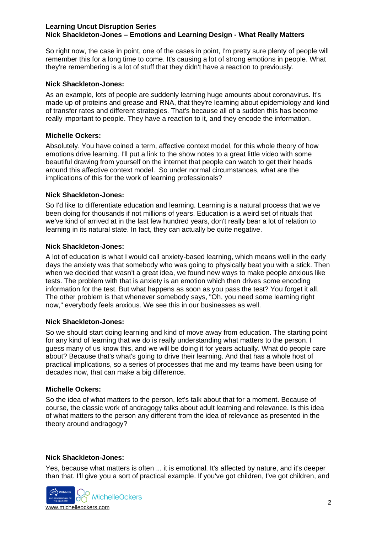So right now, the case in point, one of the cases in point, I'm pretty sure plenty of people will remember this for a long time to come. It's causing a lot of strong emotions in people. What they're remembering is a lot of stuff that they didn't have a reaction to previously.

### **Nick Shackleton-Jones:**

As an example, lots of people are suddenly learning huge amounts about coronavirus. It's made up of proteins and grease and RNA, that they're learning about epidemiology and kind of transfer rates and different strategies. That's because all of a sudden this has become really important to people. They have a reaction to it, and they encode the information.

### **Michelle Ockers:**

Absolutely. You have coined a term, affective context model, for this whole theory of how emotions drive learning. I'll put a link to the show notes to a great little video with some beautiful drawing from yourself on the internet that people can watch to get their heads around this affective context model. So under normal circumstances, what are the implications of this for the work of learning professionals?

### **Nick Shackleton-Jones:**

So I'd like to differentiate education and learning. Learning is a natural process that we've been doing for thousands if not millions of years. Education is a weird set of rituals that we've kind of arrived at in the last few hundred years, don't really bear a lot of relation to learning in its natural state. In fact, they can actually be quite negative.

### **Nick Shackleton-Jones:**

A lot of education is what I would call anxiety-based learning, which means well in the early days the anxiety was that somebody who was going to physically beat you with a stick. Then when we decided that wasn't a great idea, we found new ways to make people anxious like tests. The problem with that is anxiety is an emotion which then drives some encoding information for the test. But what happens as soon as you pass the test? You forget it all. The other problem is that whenever somebody says, "Oh, you need some learning right now," everybody feels anxious. We see this in our businesses as well.

#### **Nick Shackleton-Jones:**

So we should start doing learning and kind of move away from education. The starting point for any kind of learning that we do is really understanding what matters to the person. I guess many of us know this, and we will be doing it for years actually. What do people care about? Because that's what's going to drive their learning. And that has a whole host of practical implications, so a series of processes that me and my teams have been using for decades now, that can make a big difference.

#### **Michelle Ockers:**

So the idea of what matters to the person, let's talk about that for a moment. Because of course, the classic work of andragogy talks about adult learning and relevance. Is this idea of what matters to the person any different from the idea of relevance as presented in the theory around andragogy?

#### **Nick Shackleton-Jones:**

Yes, because what matters is often ... it is emotional. It's affected by nature, and it's deeper than that. I'll give you a sort of practical example. If you've got children, I've got children, and

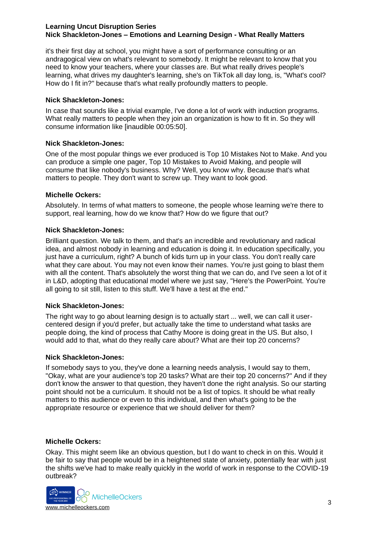it's their first day at school, you might have a sort of performance consulting or an andragogical view on what's relevant to somebody. It might be relevant to know that you need to know your teachers, where your classes are. But what really drives people's learning, what drives my daughter's learning, she's on TikTok all day long, is, "What's cool? How do I fit in?" because that's what really profoundly matters to people.

### **Nick Shackleton-Jones:**

In case that sounds like a trivial example, I've done a lot of work with induction programs. What really matters to people when they join an organization is how to fit in. So they will consume information like [inaudible 00:05:50].

## **Nick Shackleton-Jones:**

One of the most popular things we ever produced is Top 10 Mistakes Not to Make. And you can produce a simple one pager, Top 10 Mistakes to Avoid Making, and people will consume that like nobody's business. Why? Well, you know why. Because that's what matters to people. They don't want to screw up. They want to look good.

## **Michelle Ockers:**

Absolutely. In terms of what matters to someone, the people whose learning we're there to support, real learning, how do we know that? How do we figure that out?

### **Nick Shackleton-Jones:**

Brilliant question. We talk to them, and that's an incredible and revolutionary and radical idea, and almost nobody in learning and education is doing it. In education specifically, you just have a curriculum, right? A bunch of kids turn up in your class. You don't really care what they care about. You may not even know their names. You're just going to blast them with all the content. That's absolutely the worst thing that we can do, and I've seen a lot of it in L&D, adopting that educational model where we just say, "Here's the PowerPoint. You're all going to sit still, listen to this stuff. We'll have a test at the end."

## **Nick Shackleton-Jones:**

The right way to go about learning design is to actually start ... well, we can call it usercentered design if you'd prefer, but actually take the time to understand what tasks are people doing, the kind of process that Cathy Moore is doing great in the US. But also, I would add to that, what do they really care about? What are their top 20 concerns?

#### **Nick Shackleton-Jones:**

If somebody says to you, they've done a learning needs analysis, I would say to them, "Okay, what are your audience's top 20 tasks? What are their top 20 concerns?" And if they don't know the answer to that question, they haven't done the right analysis. So our starting point should not be a curriculum. It should not be a list of topics. It should be what really matters to this audience or even to this individual, and then what's going to be the appropriate resource or experience that we should deliver for them?

#### **Michelle Ockers:**

Okay. This might seem like an obvious question, but I do want to check in on this. Would it be fair to say that people would be in a heightened state of anxiety, potentially fear with just the shifts we've had to make really quickly in the world of work in response to the COVID-19 outbreak?

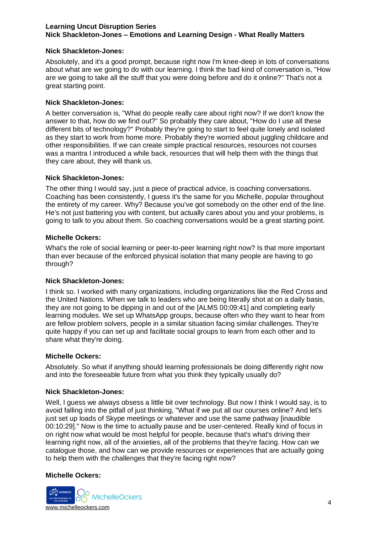# **Nick Shackleton-Jones:**

Absolutely, and it's a good prompt, because right now I'm knee-deep in lots of conversations about what are we going to do with our learning. I think the bad kind of conversation is, "How are we going to take all the stuff that you were doing before and do it online?" That's not a great starting point.

# **Nick Shackleton-Jones:**

A better conversation is, "What do people really care about right now? If we don't know the answer to that, how do we find out?" So probably they care about, "How do I use all these different bits of technology?" Probably they're going to start to feel quite lonely and isolated as they start to work from home more. Probably they're worried about juggling childcare and other responsibilities. If we can create simple practical resources, resources not courses was a mantra I introduced a while back, resources that will help them with the things that they care about, they will thank us.

# **Nick Shackleton-Jones:**

The other thing I would say, just a piece of practical advice, is coaching conversations. Coaching has been consistently, I guess it's the same for you Michelle, popular throughout the entirety of my career. Why? Because you've got somebody on the other end of the line. He's not just battering you with content, but actually cares about you and your problems, is going to talk to you about them. So coaching conversations would be a great starting point.

# **Michelle Ockers:**

What's the role of social learning or peer-to-peer learning right now? Is that more important than ever because of the enforced physical isolation that many people are having to go through?

## **Nick Shackleton-Jones:**

I think so. I worked with many organizations, including organizations like the Red Cross and the United Nations. When we talk to leaders who are being literally shot at on a daily basis, they are not going to be dipping in and out of the [ALMS 00:09:41] and completing early learning modules. We set up WhatsApp groups, because often who they want to hear from are fellow problem solvers, people in a similar situation facing similar challenges. They're quite happy if you can set up and facilitate social groups to learn from each other and to share what they're doing.

## **Michelle Ockers:**

Absolutely. So what if anything should learning professionals be doing differently right now and into the foreseeable future from what you think they typically usually do?

## **Nick Shackleton-Jones:**

Well, I guess we always obsess a little bit over technology. But now I think I would say, is to avoid falling into the pitfall of just thinking, "What if we put all our courses online? And let's just set up loads of Skype meetings or whatever and use the same pathway [inaudible 00:10:29]." Now is the time to actually pause and be user-centered. Really kind of focus in on right now what would be most helpful for people, because that's what's driving their learning right now, all of the anxieties, all of the problems that they're facing. How can we catalogue those, and how can we provide resources or experiences that are actually going to help them with the challenges that they're facing right now?

## **Michelle Ockers:**

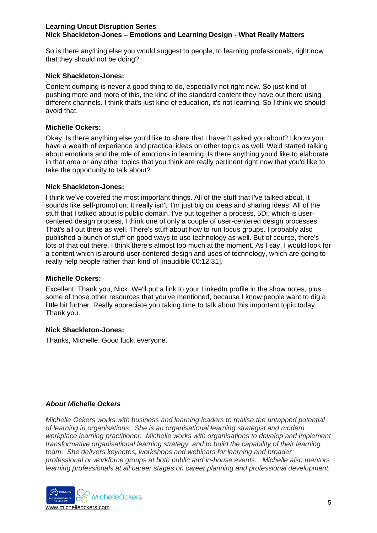So is there anything else you would suggest to people, to learning professionals, right now that they should not be doing?

### **Nick Shackleton-Jones:**

Content dumping is never a good thing to do, especially not right now. So just kind of pushing more and more of this, the kind of the standard content they have out there using different channels. I think that's just kind of education, it's not learning. So I think we should avoid that.

### **Michelle Ockers:**

Okay. Is there anything else you'd like to share that I haven't asked you about? I know you have a wealth of experience and practical ideas on other topics as well. We'd started talking about emotions and the role of emotions in learning. Is there anything you'd like to elaborate in that area or any other topics that you think are really pertinent right now that you'd like to take the opportunity to talk about?

### **Nick Shackleton-Jones:**

I think we've covered the most important things. All of the stuff that I've talked about, it sounds like self-promotion. It really isn't. I'm just big on ideas and sharing ideas. All of the stuff that I talked about is public domain. I've put together a process, 5Di, which is usercentered design process, I think one of only a couple of user-centered design processes. That's all out there as well. There's stuff about how to run focus groups. I probably also published a bunch of stuff on good ways to use technology as well. But of course, there's lots of that out there. I think there's almost too much at the moment. As I say, I would look for a content which is around user-centered design and uses of technology, which are going to really help people rather than kind of [inaudible 00:12:31].

#### **Michelle Ockers:**

Excellent. Thank you, Nick. We'll put a link to your LinkedIn profile in the show notes, plus some of those other resources that you've mentioned, because I know people want to dig a little bit further. Really appreciate you taking time to talk about this important topic today. Thank you.

## **Nick Shackleton-Jones:**

Thanks, Michelle. Good luck, everyone.

## *About Michelle Ockers*

*Michelle Ockers works with business and learning leaders to realise the untapped potential of learning in organisations. She is an organisational learning strategist and modern workplace learning practitioner. Michelle works with organisations to develop and implement transformative organisational learning strategy, and to build the capability of their learning team. She delivers keynotes, workshops and webinars for learning and broader professional or workforce groups at both public and in-house events. Michelle also mentors learning professionals at all career stages on career planning and professional development.*